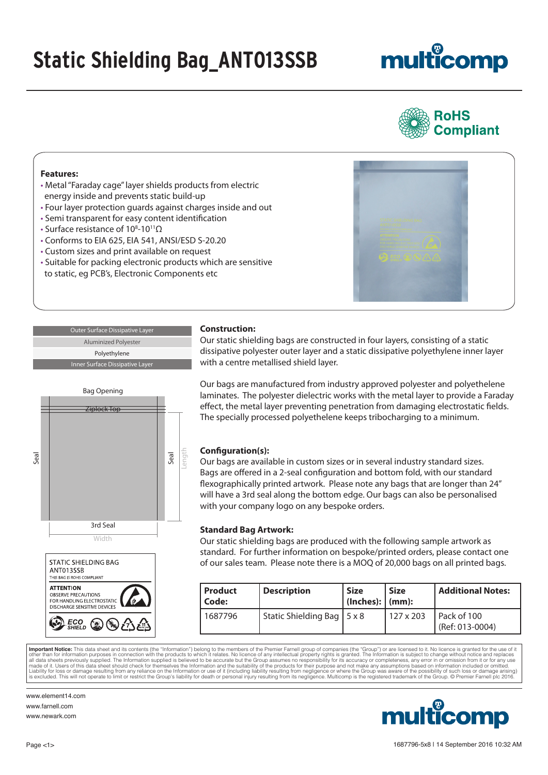### **Static Shielding Bag\_ANT013SSB**

# multicomp



#### **Features:**

- Metal "Faraday cage" layer shields products from electric energy inside and prevents static build-up
- Four layer protection guards against charges inside and out
- Semi transparent for easy content identification
- Surface resistance of 10<sup>8</sup>-10<sup>11</sup>Ω
- Conforms to EIA 625, EIA 541, ANSI/ESD S-20.20
- Custom sizes and print available on request
- Suitable for packing electronic products which are sensitive to static, eg PCB's, Electronic Components etc

Seal Length



**Outer Surface Dissipative Laye** Aluminized Polyester Polyethylene Inner Surface Dissipative Lay

Bag Opening

'inlock Ton

3rd Seal

Width

**STATIC SHIELDING BAG** 

ANT013SSB THIS BAG IS ROHS COMPLIANT **ATTENTION** OBSERVE PRECAUTIONS **POR HANDLING ELECTROSTATIC** DISCHARGE SENSITIVE DEVICES

**Construction:** Our static shielding bags are constructed in four layers, consisting of a static

dissipative polyester outer layer and a static dissipative polyethylene inner layer with a centre metallised shield layer.

Our bags are manufactured from industry approved polyester and polyethelene laminates. The polyester dielectric works with the metal layer to provide a Faraday effect, the metal layer preventing penetration from damaging electrostatic fields. The specially processed polyethelene keeps tribocharging to a minimum.

### **Configuration(s):**

Our bags are available in custom sizes or in several industry standard sizes. Bags are offered in a 2-seal configuration and bottom fold, with our standard flexographically printed artwork. Please note any bags that are longer than 24" will have a 3rd seal along the bottom edge. Our bags can also be personalised with your company logo on any bespoke orders.

### **Standard Bag Artwork:**

Our static shielding bags are produced with the following sample artwork as standard. For further information on bespoke/printed orders, please contact one of our sales team. Please note there is a MOQ of 20,000 bags on all printed bags.

| Product<br>l Code: | <b>Description</b>           | <b>Size</b><br>$ $ (Inches): $ $ (mm): | <b>Size</b> | Additional Notes:                |
|--------------------|------------------------------|----------------------------------------|-------------|----------------------------------|
| 1687796            | Static Shielding Bag   5 x 8 |                                        | 1127 x 203  | Pack of 100<br>$(Ref: 013-0004)$ |

**Important Notice:** This data sheet and its contents (the "Information") belong to the members of the Premier Farnell group of companies (the "Group") or are licensed to it. No licence is granted for the use of it and the

www.element14.com www.farnell.com www.newark.com



Seal